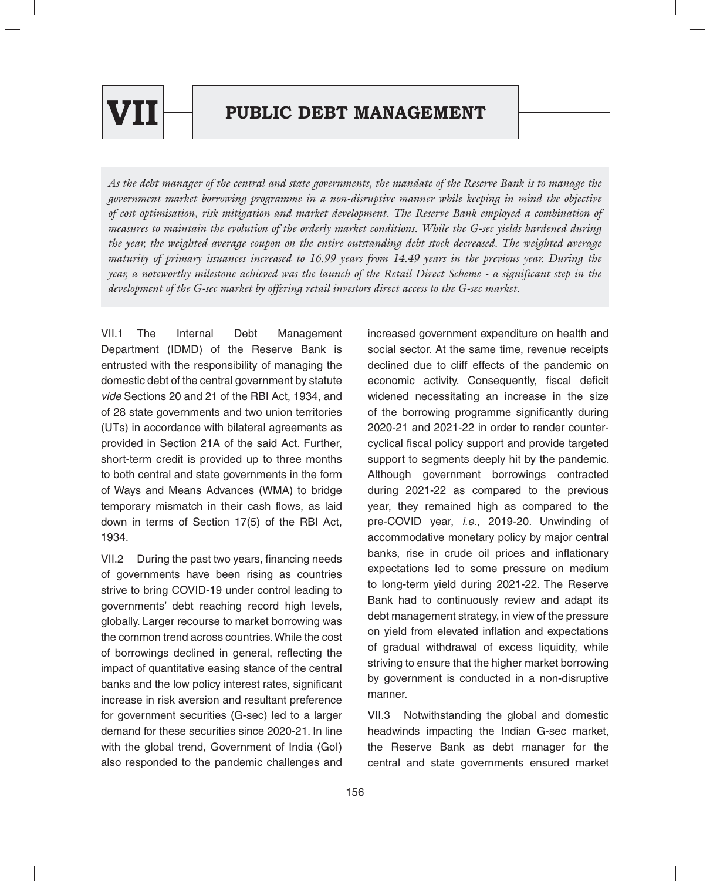

# **PUBLIC DEBT MANAGEMENT**

*As the debt manager of the central and state governments, the mandate of the Reserve Bank is to manage the government market borrowing programme in a non-disruptive manner while keeping in mind the objective of cost optimisation, risk mitigation and market development. The Reserve Bank employed a combination of measures to maintain the evolution of the orderly market conditions. While the G-sec yields hardened during the year, the weighted average coupon on the entire outstanding debt stock decreased. The weighted average maturity of primary issuances increased to 16.99 years from 14.49 years in the previous year. During the year, a noteworthy milestone achieved was the launch of the Retail Direct Scheme - a significant step in the development of the G-sec market by offering retail investors direct access to the G-sec market.*

VII.1 The Internal Debt Management Department (IDMD) of the Reserve Bank is entrusted with the responsibility of managing the domestic debt of the central government by statute *vide* Sections 20 and 21 of the RBI Act, 1934, and of 28 state governments and two union territories (UTs) in accordance with bilateral agreements as provided in Section 21A of the said Act. Further, short-term credit is provided up to three months to both central and state governments in the form of Ways and Means Advances (WMA) to bridge temporary mismatch in their cash flows, as laid down in terms of Section 17(5) of the RBI Act, 1934.

VII.2 During the past two years, financing needs of governments have been rising as countries strive to bring COVID-19 under control leading to governments' debt reaching record high levels, globally. Larger recourse to market borrowing was the common trend across countries. While the cost of borrowings declined in general, reflecting the impact of quantitative easing stance of the central banks and the low policy interest rates, significant increase in risk aversion and resultant preference for government securities (G-sec) led to a larger demand for these securities since 2020-21. In line with the global trend, Government of India (GoI) also responded to the pandemic challenges and

increased government expenditure on health and social sector. At the same time, revenue receipts declined due to cliff effects of the pandemic on economic activity. Consequently, fiscal deficit widened necessitating an increase in the size of the borrowing programme significantly during 2020-21 and 2021-22 in order to render countercyclical fiscal policy support and provide targeted support to segments deeply hit by the pandemic. Although government borrowings contracted during 2021-22 as compared to the previous year, they remained high as compared to the pre-COVID year, *i.e.*, 2019-20. Unwinding of accommodative monetary policy by major central banks, rise in crude oil prices and inflationary expectations led to some pressure on medium to long-term yield during 2021-22. The Reserve Bank had to continuously review and adapt its debt management strategy, in view of the pressure on yield from elevated inflation and expectations of gradual withdrawal of excess liquidity, while striving to ensure that the higher market borrowing by government is conducted in a non-disruptive manner.

VII.3 Notwithstanding the global and domestic headwinds impacting the Indian G-sec market, the Reserve Bank as debt manager for the central and state governments ensured market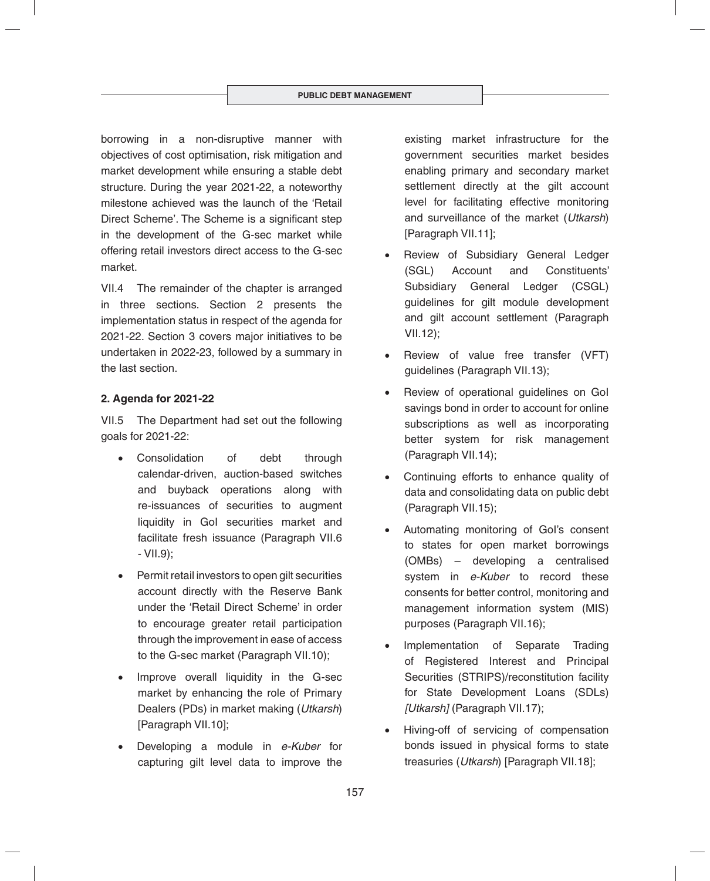borrowing in a non-disruptive manner with objectives of cost optimisation, risk mitigation and market development while ensuring a stable debt structure. During the year 2021-22, a noteworthy milestone achieved was the launch of the 'Retail Direct Scheme'. The Scheme is a significant step in the development of the G-sec market while offering retail investors direct access to the G-sec market.

VII.4 The remainder of the chapter is arranged in three sections. Section 2 presents the implementation status in respect of the agenda for 2021-22. Section 3 covers major initiatives to be undertaken in 2022-23, followed by a summary in the last section.

## **2. Agenda for 2021-22**

VII.5 The Department had set out the following goals for 2021-22:

- Consolidation of debt through calendar-driven, auction-based switches and buyback operations along with re-issuances of securities to augment liquidity in GoI securities market and facilitate fresh issuance (Paragraph VII.6 - VII.9);
- Permit retail investors to open gilt securities account directly with the Reserve Bank under the 'Retail Direct Scheme' in order to encourage greater retail participation through the improvement in ease of access to the G-sec market (Paragraph VII.10);
- Improve overall liquidity in the G-sec market by enhancing the role of Primary Dealers (PDs) in market making (*Utkarsh*) [Paragraph VII.10];
- Developing a module in *e-Kuber* for capturing gilt level data to improve the

existing market infrastructure for the government securities market besides enabling primary and secondary market settlement directly at the gilt account level for facilitating effective monitoring and surveillance of the market (*Utkarsh*) [Paragraph VII.11];

- Review of Subsidiary General Ledger (SGL) Account and Constituents' Subsidiary General Ledger (CSGL) guidelines for gilt module development and gilt account settlement (Paragraph VII.12);
- Review of value free transfer (VFT) guidelines (Paragraph VII.13);
- Review of operational guidelines on GoI savings bond in order to account for online subscriptions as well as incorporating better system for risk management (Paragraph VII.14);
- Continuing efforts to enhance quality of data and consolidating data on public debt (Paragraph VII.15);
- Automating monitoring of GoI's consent to states for open market borrowings (OMBs) – developing a centralised system in *e-Kuber* to record these consents for better control, monitoring and management information system (MIS) purposes (Paragraph VII.16);
- Implementation of Separate Trading of Registered Interest and Principal Securities (STRIPS)/reconstitution facility for State Development Loans (SDLs) *[Utkarsh]* (Paragraph VII.17);
- Hiving-off of servicing of compensation bonds issued in physical forms to state treasuries (*Utkarsh*) [Paragraph VII.18];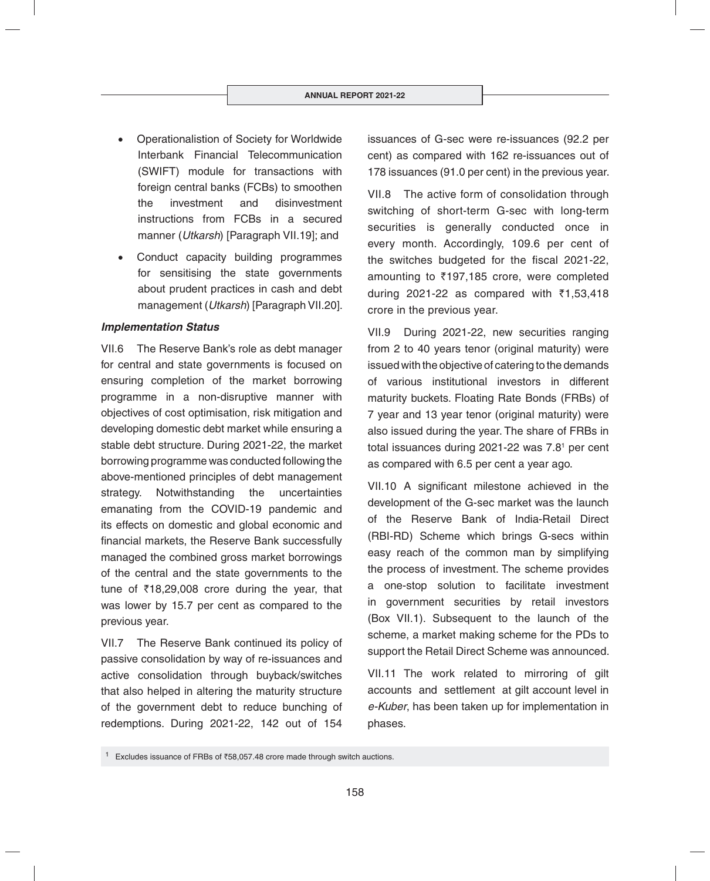- Operationalistion of Society for Worldwide Interbank Financial Telecommunication (SWIFT) module for transactions with foreign central banks (FCBs) to smoothen the investment and disinvestment instructions from FCBs in a secured manner (*Utkarsh*) [Paragraph VII.19]; and
- Conduct capacity building programmes for sensitising the state governments about prudent practices in cash and debt management (*Utkarsh*) [Paragraph VII.20].

#### *Implementation Status*

VII.6 The Reserve Bank's role as debt manager for central and state governments is focused on ensuring completion of the market borrowing programme in a non-disruptive manner with objectives of cost optimisation, risk mitigation and developing domestic debt market while ensuring a stable debt structure. During 2021-22, the market borrowing programme was conducted following the above-mentioned principles of debt management strategy. Notwithstanding the uncertainties emanating from the COVID-19 pandemic and its effects on domestic and global economic and financial markets, the Reserve Bank successfully managed the combined gross market borrowings of the central and the state governments to the tune of  $\overline{\xi}$ 18,29,008 crore during the year, that was lower by 15.7 per cent as compared to the previous year.

VII.7 The Reserve Bank continued its policy of passive consolidation by way of re-issuances and active consolidation through buyback/switches that also helped in altering the maturity structure of the government debt to reduce bunching of redemptions. During 2021-22, 142 out of 154 issuances of G-sec were re-issuances (92.2 per cent) as compared with 162 re-issuances out of 178 issuances (91.0 per cent) in the previous year.

VII.8 The active form of consolidation through switching of short-term G-sec with long-term securities is generally conducted once in every month. Accordingly, 109.6 per cent of the switches budgeted for the fiscal 2021-22, amounting to  $\overline{5}197,185$  crore, were completed during 2021-22 as compared with  $\bar{\tau}$ 1,53,418 crore in the previous year.

VII.9 During 2021-22, new securities ranging from 2 to 40 years tenor (original maturity) were issued with the objective of catering to the demands of various institutional investors in different maturity buckets. Floating Rate Bonds (FRBs) of 7 year and 13 year tenor (original maturity) were also issued during the year. The share of FRBs in total issuances during 2021-22 was 7.8<sup>1</sup> per cent as compared with 6.5 per cent a year ago.

VII.10 A significant milestone achieved in the development of the G-sec market was the launch of the Reserve Bank of India-Retail Direct (RBI-RD) Scheme which brings G-secs within easy reach of the common man by simplifying the process of investment. The scheme provides a one-stop solution to facilitate investment in government securities by retail investors (Box VII.1). Subsequent to the launch of the scheme, a market making scheme for the PDs to support the Retail Direct Scheme was announced.

VII.11 The work related to mirroring of gilt accounts and settlement at gilt account level in *e-Kuber*, has been taken up for implementation in phases.

<sup>&</sup>lt;sup>1</sup> Excludes issuance of FRBs of  $\overline{58,057.48}$  crore made through switch auctions.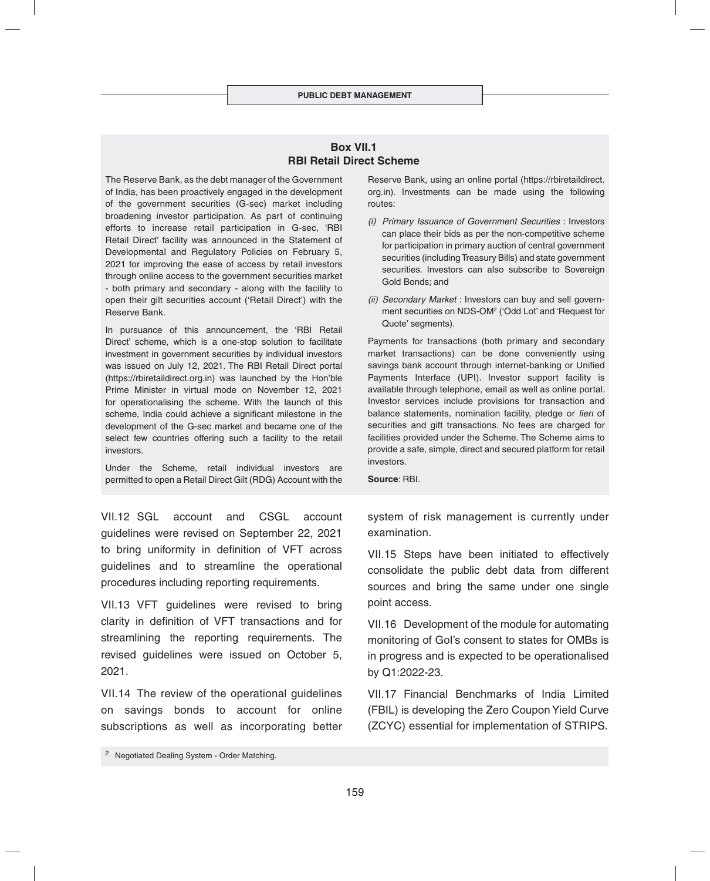#### **Box VII.1 RBI Retail Direct Scheme**

The Reserve Bank, as the debt manager of the Government of India, has been proactively engaged in the development of the government securities (G-sec) market including broadening investor participation. As part of continuing efforts to increase retail participation in G-sec, 'RBI Retail Direct' facility was announced in the Statement of Developmental and Regulatory Policies on February 5, 2021 for improving the ease of access by retail investors through online access to the government securities market - both primary and secondary - along with the facility to open their gilt securities account ('Retail Direct') with the Reserve Bank.

In pursuance of this announcement, the 'RBI Retail Direct' scheme, which is a one-stop solution to facilitate investment in government securities by individual investors was issued on July 12, 2021. The RBI Retail Direct portal (https://rbiretaildirect.org.in) was launched by the Hon'ble Prime Minister in virtual mode on November 12, 2021 for operationalising the scheme. With the launch of this scheme, India could achieve a significant milestone in the development of the G-sec market and became one of the select few countries offering such a facility to the retail investors.

Under the Scheme, retail individual investors are permitted to open a Retail Direct Gilt (RDG) Account with the

VII.12 SGL account and CSGL account guidelines were revised on September 22, 2021 to bring uniformity in definition of VFT across guidelines and to streamline the operational procedures including reporting requirements.

VII.13 VFT guidelines were revised to bring clarity in definition of VFT transactions and for streamlining the reporting requirements. The revised guidelines were issued on October 5, 2021.

VII.14 The review of the operational guidelines on savings bonds to account for online subscriptions as well as incorporating better

- *(i) Primary Issuance of Government Securities* : Investors can place their bids as per the non-competitive scheme for participation in primary auction of central government securities (including Treasury Bills) and state government securities. Investors can also subscribe to Sovereign Gold Bonds; and
- *(ii) Secondary Market* : Investors can buy and sell government securities on NDS-OM2 ('Odd Lot' and 'Request for Quote' segments).

Payments for transactions (both primary and secondary market transactions) can be done conveniently using savings bank account through internet-banking or Unified Payments Interface (UPI). Investor support facility is available through telephone, email as well as online portal. Investor services include provisions for transaction and balance statements, nomination facility, pledge or *lien* of securities and gift transactions. No fees are charged for facilities provided under the Scheme. The Scheme aims to provide a safe, simple, direct and secured platform for retail investors.

**Source**: RBI.

system of risk management is currently under examination.

VII.15 Steps have been initiated to effectively consolidate the public debt data from different sources and bring the same under one single point access.

VII.16 Development of the module for automating monitoring of GoI's consent to states for OMBs is in progress and is expected to be operationalised by Q1:2022-23.

VII.17 Financial Benchmarks of India Limited (FBIL) is developing the Zero Coupon Yield Curve (ZCYC) essential for implementation of STRIPS.

Reserve Bank, using an online portal (https://rbiretaildirect. org.in). Investments can be made using the following routes:

<sup>2</sup> Negotiated Dealing System - Order Matching.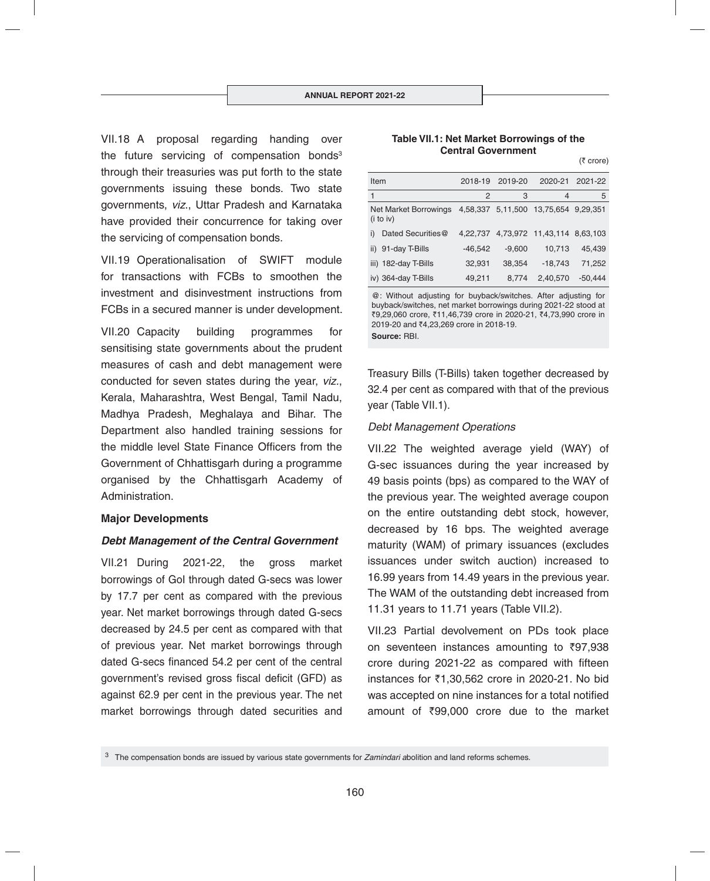VII.18 A proposal regarding handing over the future servicing of compensation bonds $3$ through their treasuries was put forth to the state governments issuing these bonds. Two state governments, *viz*., Uttar Pradesh and Karnataka have provided their concurrence for taking over the servicing of compensation bonds.

VII.19 Operationalisation of SWIFT module for transactions with FCBs to smoothen the investment and disinvestment instructions from FCBs in a secured manner is under development.

VII.20 Capacity building programmes for sensitising state governments about the prudent measures of cash and debt management were conducted for seven states during the year, *viz.*, Kerala, Maharashtra, West Bengal, Tamil Nadu, Madhya Pradesh, Meghalaya and Bihar. The Department also handled training sessions for the middle level State Finance Officers from the Government of Chhattisgarh during a programme organised by the Chhattisgarh Academy of Administration.

#### **Major Developments**

#### *Debt Management of the Central Government*

VII.21 During 2021-22, the gross market borrowings of GoI through dated G-secs was lower by 17.7 per cent as compared with the previous year. Net market borrowings through dated G-secs decreased by 24.5 per cent as compared with that of previous year. Net market borrowings through dated G-secs financed 54.2 per cent of the central government's revised gross fiscal deficit (GFD) as against 62.9 per cent in the previous year. The net market borrowings through dated securities and

#### **Table VII.1: Net Market Borrowings of the Central Government**

 $(5$  crore)

| Item |                                    | 2018-19   | 2019-20           | 2020-21                     | 2021-22 |
|------|------------------------------------|-----------|-------------------|-----------------------------|---------|
| 1    |                                    | 2         | З                 | 4                           | 5       |
|      | Net Market Borrowings<br>(i to iv) |           | 4,58,337 5,11,500 | 13,75,654 9,29,351          |         |
| i)   | Dated Securities@                  | 4.22.737  |                   | 4,73,972 11,43,114 8,63,103 |         |
|      | ii) 91-day T-Bills                 | $-46,542$ | $-9.600$          | 10.713                      | 45.439  |
|      | iii) 182-day T-Bills               | 32,931    | 38,354            | $-18,743$                   | 71.252  |
|      | iv) 364-day T-Bills                | 49,211    | 8.774             | 2,40,570                    | -50.444 |

@: Without adjusting for buyback/switches. After adjusting for buyback/switches, net market borrowings during 2021-22 stood at ₹9,29,060 crore, ₹11,46,739 crore in 2020-21, ₹4,73,990 crore in 2019-20 and ₹4,23,269 crore in 2018-19. **Source:** RBI.

Treasury Bills (T-Bills) taken together decreased by 32.4 per cent as compared with that of the previous year (Table VII.1).

#### *Debt Management Operations*

VII.22 The weighted average yield (WAY) of G-sec issuances during the year increased by 49 basis points (bps) as compared to the WAY of the previous year. The weighted average coupon on the entire outstanding debt stock, however, decreased by 16 bps. The weighted average maturity (WAM) of primary issuances (excludes issuances under switch auction) increased to 16.99 years from 14.49 years in the previous year. The WAM of the outstanding debt increased from 11.31 years to 11.71 years (Table VII.2).

VII.23 Partial devolvement on PDs took place on seventeen instances amounting to  $\overline{597,938}$ crore during 2021-22 as compared with fifteen instances for  $\overline{51}$ ,30,562 crore in 2020-21. No bid was accepted on nine instances for a total notified amount of  $\overline{399,000}$  crore due to the market

<sup>3</sup> The compensation bonds are issued by various state governments for *Zamindari a*bolition and land reforms schemes.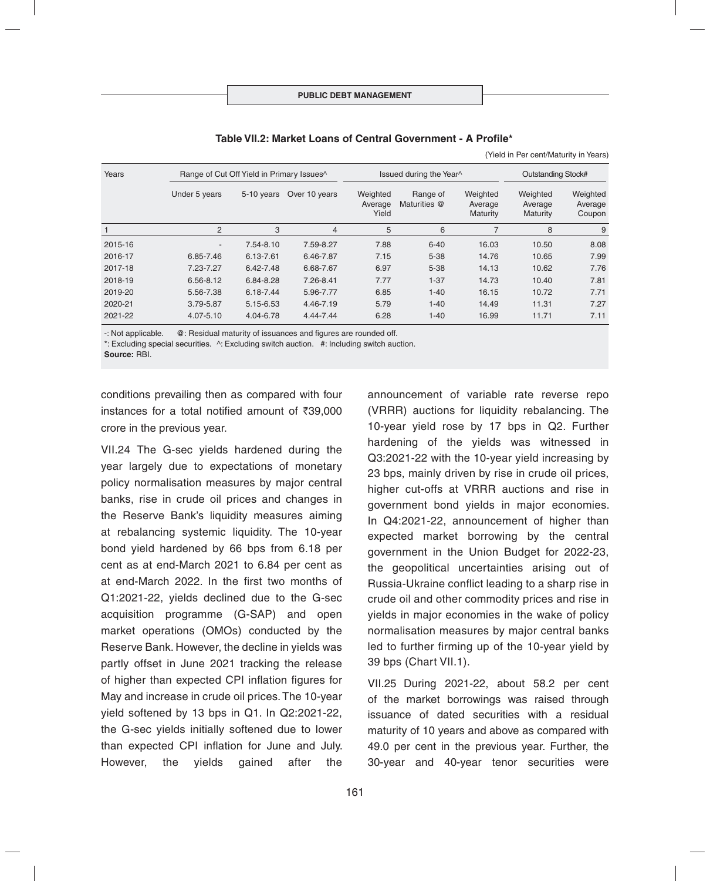| Years   | Range of Cut Off Yield in Primary Issues <sup>^</sup> |            |               |                              | Issued during the Year^<br><b>Outstanding Stock#</b> |                                 |                                        |                               |
|---------|-------------------------------------------------------|------------|---------------|------------------------------|------------------------------------------------------|---------------------------------|----------------------------------------|-------------------------------|
|         | Under 5 years                                         | 5-10 years | Over 10 years | Weighted<br>Average<br>Yield | Range of<br>Maturities @                             | Weighted<br>Average<br>Maturity | Weighted<br>Average<br><b>Maturity</b> | Weighted<br>Average<br>Coupon |
|         | 2                                                     | 3          | 4             | 5                            | 6                                                    | 7                               | 8                                      | 9                             |
| 2015-16 | ٠                                                     | 7.54-8.10  | 7.59-8.27     | 7.88                         | $6 - 40$                                             | 16.03                           | 10.50                                  | 8.08                          |
| 2016-17 | 6.85-7.46                                             | 6.13-7.61  | 6.46-7.87     | 7.15                         | $5 - 38$                                             | 14.76                           | 10.65                                  | 7.99                          |
| 2017-18 | 7.23-7.27                                             | 6.42-7.48  | 6.68-7.67     | 6.97                         | $5 - 38$                                             | 14.13                           | 10.62                                  | 7.76                          |
| 2018-19 | 6.56-8.12                                             | 6.84-8.28  | 7.26-8.41     | 7.77                         | $1 - 37$                                             | 14.73                           | 10.40                                  | 7.81                          |
| 2019-20 | 5.56-7.38                                             | 6.18-7.44  | 5.96-7.77     | 6.85                         | $1 - 40$                                             | 16.15                           | 10.72                                  | 7.71                          |
| 2020-21 | 3.79-5.87                                             | 5.15-6.53  | 4.46-7.19     | 5.79                         | $1 - 40$                                             | 14.49                           | 11.31                                  | 7.27                          |
| 2021-22 | 4.07-5.10                                             | 4.04-6.78  | 4.44-7.44     | 6.28                         | $1 - 40$                                             | 16.99                           | 11.71                                  | 7.11                          |

(Yield in Per cent/Maturity in Years)

-: Not applicable.  $\oslash$  : Residual maturity of issuances and figures are rounded off.

\*: Excluding special securities. ^: Excluding switch auction. #: Including switch auction.

**Source:** RBI.

conditions prevailing then as compared with four instances for a total notified amount of  $\bar{\tau}39.000$ crore in the previous year.

VII.24 The G-sec yields hardened during the year largely due to expectations of monetary policy normalisation measures by major central banks, rise in crude oil prices and changes in the Reserve Bank's liquidity measures aiming at rebalancing systemic liquidity. The 10-year bond yield hardened by 66 bps from 6.18 per cent as at end-March 2021 to 6.84 per cent as at end-March 2022. In the first two months of Q1:2021-22, yields declined due to the G-sec acquisition programme (G-SAP) and open market operations (OMOs) conducted by the Reserve Bank. However, the decline in yields was partly offset in June 2021 tracking the release of higher than expected CPI inflation figures for May and increase in crude oil prices. The 10-year yield softened by 13 bps in Q1. In Q2:2021-22, the G-sec yields initially softened due to lower than expected CPI inflation for June and July. However, the yields gained after the

announcement of variable rate reverse repo (VRRR) auctions for liquidity rebalancing. The 10-year yield rose by 17 bps in Q2. Further hardening of the yields was witnessed in Q3:2021-22 with the 10-year yield increasing by 23 bps, mainly driven by rise in crude oil prices, higher cut-offs at VRRR auctions and rise in government bond yields in major economies. In Q4:2021-22, announcement of higher than expected market borrowing by the central government in the Union Budget for 2022-23, the geopolitical uncertainties arising out of Russia-Ukraine conflict leading to a sharp rise in crude oil and other commodity prices and rise in yields in major economies in the wake of policy normalisation measures by major central banks led to further firming up of the 10-year yield by 39 bps (Chart VII.1).

VII.25 During 2021-22, about 58.2 per cent of the market borrowings was raised through issuance of dated securities with a residual maturity of 10 years and above as compared with 49.0 per cent in the previous year. Further, the 30-year and 40-year tenor securities were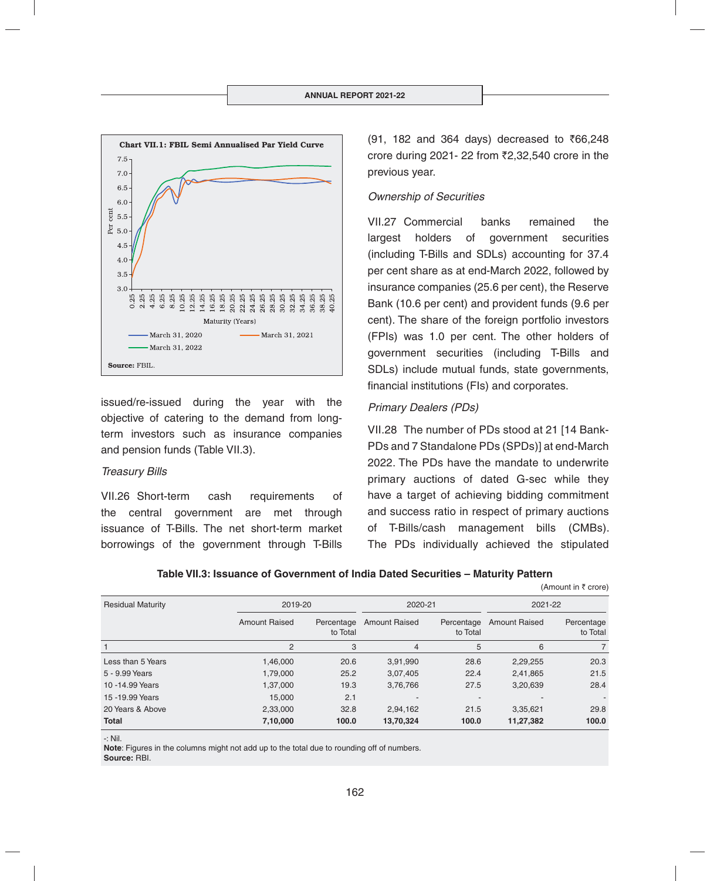

issued/re-issued during the year with the objective of catering to the demand from longterm investors such as insurance companies and pension funds (Table VII.3).

#### *Treasury Bills*

VII.26 Short-term cash requirements of the central government are met through issuance of T-Bills. The net short-term market borrowings of the government through T-Bills  $(91, 182, and 364, days)$  decreased to  $\overline{666,248}$ crore during 2021- 22 from  $\overline{2}2,32,540$  crore in the previous year.

## *Ownership of Securities*

VII.27 Commercial banks remained the largest holders of government securities (including T-Bills and SDLs) accounting for 37.4 per cent share as at end-March 2022, followed by insurance companies (25.6 per cent), the Reserve Bank (10.6 per cent) and provident funds (9.6 per cent). The share of the foreign portfolio investors (FPIs) was 1.0 per cent. The other holders of government securities (including T-Bills and SDLs) include mutual funds, state governments, financial institutions (FIs) and corporates.

## *Primary Dealers (PDs)*

VII.28 The number of PDs stood at 21 [14 Bank-PDs and 7 Standalone PDs (SPDs)] at end-March 2022. The PDs have the mandate to underwrite primary auctions of dated G-sec while they have a target of achieving bidding commitment and success ratio in respect of primary auctions of T-Bills/cash management bills (CMBs). The PDs individually achieved the stipulated

(Amount in  $\bar{\tau}$  crore)

|  |  | Table VII.3: Issuance of Government of India Dated Securities – Maturity Pattern |
|--|--|----------------------------------------------------------------------------------|
|--|--|----------------------------------------------------------------------------------|

| <b>Residual Maturity</b> | 2019-20              |                        | 2020-21              |                        | 2021-22              |                        |
|--------------------------|----------------------|------------------------|----------------------|------------------------|----------------------|------------------------|
|                          | <b>Amount Raised</b> | Percentage<br>to Total | <b>Amount Raised</b> | Percentage<br>to Total | <b>Amount Raised</b> | Percentage<br>to Total |
|                          | 2                    | 3                      | $\overline{4}$       | 5                      | 6                    | $\overline{7}$         |
| Less than 5 Years        | 1,46,000             | 20.6                   | 3,91,990             | 28.6                   | 2,29,255             | 20.3                   |
| 5 - 9.99 Years           | 1,79,000             | 25.2                   | 3,07,405             | 22.4                   | 2,41,865             | 21.5                   |
| 10 - 14.99 Years         | 1,37,000             | 19.3                   | 3,76,766             | 27.5                   | 3,20,639             | 28.4                   |
| 15 - 19.99 Years         | 15,000               | 2.1                    |                      |                        |                      | ٠.                     |
| 20 Years & Above         | 2,33,000             | 32.8                   | 2,94,162             | 21.5                   | 3,35,621             | 29.8                   |
| <b>Total</b>             | 7,10,000             | 100.0                  | 13,70,324            | 100.0                  | 11,27,382            | 100.0                  |

<sup>-:</sup> Nil.

**Note**: Figures in the columns might not add up to the total due to rounding off of numbers. **Source:** RBI.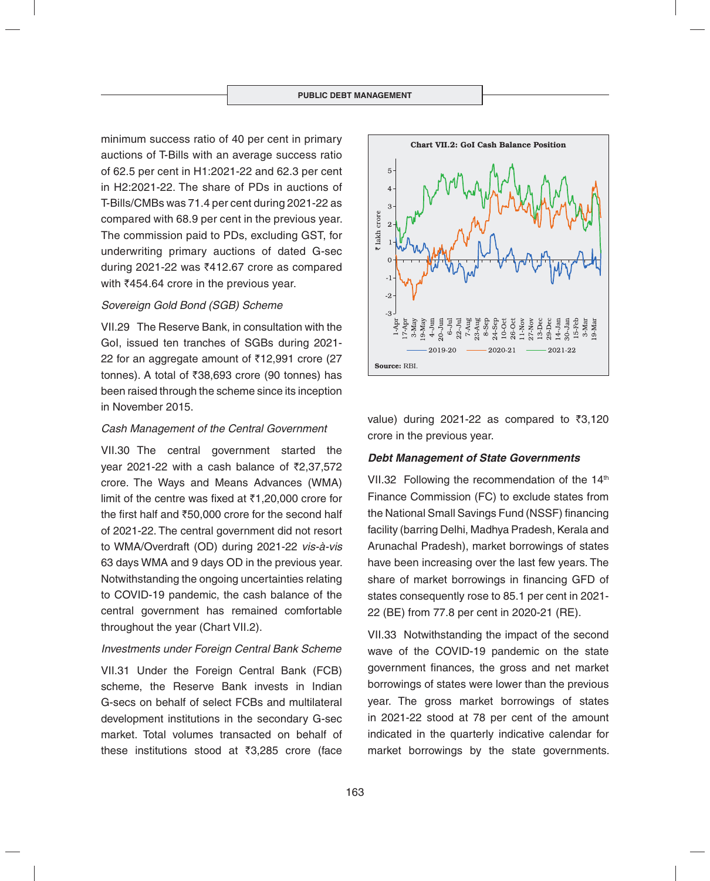minimum success ratio of 40 per cent in primary auctions of T-Bills with an average success ratio of 62.5 per cent in H1:2021-22 and 62.3 per cent in H2:2021-22. The share of PDs in auctions of T-Bills/CMBs was 71.4 per cent during 2021-22 as compared with 68.9 per cent in the previous year. The commission paid to PDs, excluding GST, for underwriting primary auctions of dated G-sec during 2021-22 was  $\bar{z}$ 412.67 crore as compared with  $\bar{z}$ 454.64 crore in the previous year.

## *Sovereign Gold Bond (SGB) Scheme*

VII.29 The Reserve Bank, in consultation with the GoI, issued ten tranches of SGBs during 2021- 22 for an aggregate amount of  $\bar{\tau}$ 12,991 crore (27 tonnes). A total of  $\overline{38,693}$  crore (90 tonnes) has been raised through the scheme since its inception in November 2015.

## *Cash Management of the Central Government*

VII.30 The central government started the year 2021-22 with a cash balance of  $\bar{\zeta}2,37,572$ crore. The Ways and Means Advances (WMA) limit of the centre was fixed at  $\bar{\tau}$ 1,20,000 crore for the first half and  $\overline{50.000}$  crore for the second half of 2021-22. The central government did not resort to WMA/Overdraft (OD) during 2021-22 *vis-à-vis* 63 days WMA and 9 days OD in the previous year. Notwithstanding the ongoing uncertainties relating to COVID-19 pandemic, the cash balance of the central government has remained comfortable throughout the year (Chart VII.2).

## *Investments under Foreign Central Bank Scheme*

VII.31 Under the Foreign Central Bank (FCB) scheme, the Reserve Bank invests in Indian G-secs on behalf of select FCBs and multilateral development institutions in the secondary G-sec market. Total volumes transacted on behalf of these institutions stood at  $\bar{z}3.285$  crore (face



value) during 2021-22 as compared to  $\overline{33,120}$ crore in the previous year.

## *Debt Management of State Governments*

VII.32 Following the recommendation of the 14<sup>th</sup> Finance Commission (FC) to exclude states from the National Small Savings Fund (NSSF) financing facility (barring Delhi, Madhya Pradesh, Kerala and Arunachal Pradesh), market borrowings of states have been increasing over the last few years. The share of market borrowings in financing GFD of states consequently rose to 85.1 per cent in 2021- 22 (BE) from 77.8 per cent in 2020-21 (RE).

VII.33 Notwithstanding the impact of the second wave of the COVID-19 pandemic on the state government finances, the gross and net market borrowings of states were lower than the previous year. The gross market borrowings of states in 2021-22 stood at 78 per cent of the amount indicated in the quarterly indicative calendar for market borrowings by the state governments.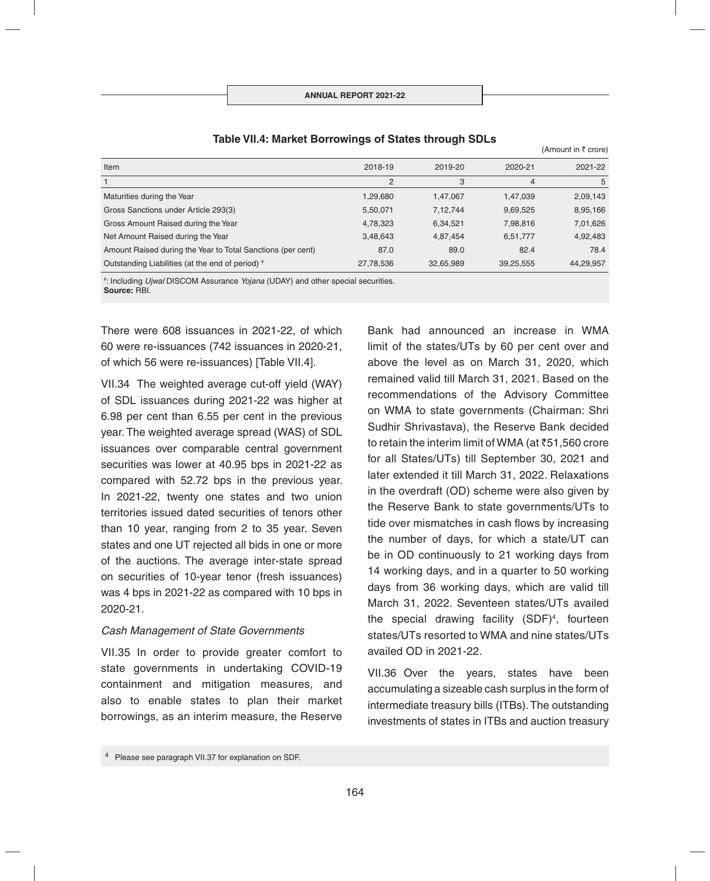| Item                                                        | 2018-19        | 2019-20   | 2020-21        | 2021-22   |
|-------------------------------------------------------------|----------------|-----------|----------------|-----------|
|                                                             | $\overline{2}$ | 3         | $\overline{4}$ | 5         |
| Maturities during the Year                                  | 1,29,680       | 1,47,067  | 1,47,039       | 2,09,143  |
| Gross Sanctions under Article 293(3)                        | 5,50,071       | 7,12,744  | 9,69,525       | 8,95,166  |
| Gross Amount Raised during the Year                         | 4,78,323       | 6,34,521  | 7,98,816       | 7,01,626  |
| Net Amount Raised during the Year                           | 3,48,643       | 4,87,454  | 6,51,777       | 4,92,483  |
| Amount Raised during the Year to Total Sanctions (per cent) | 87.0           | 89.0      | 82.4           | 78.4      |
| Outstanding Liabilities (at the end of period) #            | 27,78,536      | 32,65,989 | 39,25,555      | 44,29,957 |

## **Table VII.4: Market Borrowings of States through SDLs**

# : Including *Ujwal* DISCOM Assurance *Yojana* (UDAY) and other special securities. **Source:** RBI.

There were 608 issuances in 2021-22, of which 60 were re-issuances (742 issuances in 2020-21, of which 56 were re-issuances) [Table VII.4].

VII.34 The weighted average cut-off yield (WAY) of SDL issuances during 2021-22 was higher at 6.98 per cent than 6.55 per cent in the previous year. The weighted average spread (WAS) of SDL issuances over comparable central government securities was lower at 40.95 bps in 2021-22 as compared with 52.72 bps in the previous year. In 2021-22, twenty one states and two union territories issued dated securities of tenors other than 10 year, ranging from 2 to 35 year. Seven states and one UT rejected all bids in one or more of the auctions. The average inter-state spread on securities of 10-year tenor (fresh issuances) was 4 bps in 2021-22 as compared with 10 bps in 2020-21.

#### *Cash Management of State Governments*

VII.35 In order to provide greater comfort to state governments in undertaking COVID-19 containment and mitigation measures, and also to enable states to plan their market borrowings, as an interim measure, the Reserve

Bank had announced an increase in WMA limit of the states/UTs by 60 per cent over and above the level as on March 31, 2020, which remained valid till March 31, 2021. Based on the recommendations of the Advisory Committee on WMA to state governments (Chairman: Shri Sudhir Shrivastava), the Reserve Bank decided to retain the interim limit of WMA (at  $\overline{51,560}$  crore for all States/UTs) till September 30, 2021 and later extended it till March 31, 2022. Relaxations in the overdraft (OD) scheme were also given by the Reserve Bank to state governments/UTs to tide over mismatches in cash flows by increasing the number of days, for which a state/UT can be in OD continuously to 21 working days from 14 working days, and in a quarter to 50 working days from 36 working days, which are valid till March 31, 2022. Seventeen states/UTs availed the special drawing facility (SDF)4 , fourteen states/UTs resorted to WMA and nine states/UTs availed OD in 2021-22.

 $(Amount in  $\bar{\tau}$  crora)$ 

VII.36 Over the years, states have been accumulating a sizeable cash surplus in the form of intermediate treasury bills (ITBs). The outstanding investments of states in ITBs and auction treasury

<sup>4</sup> Please see paragraph VII.37 for explanation on SDF.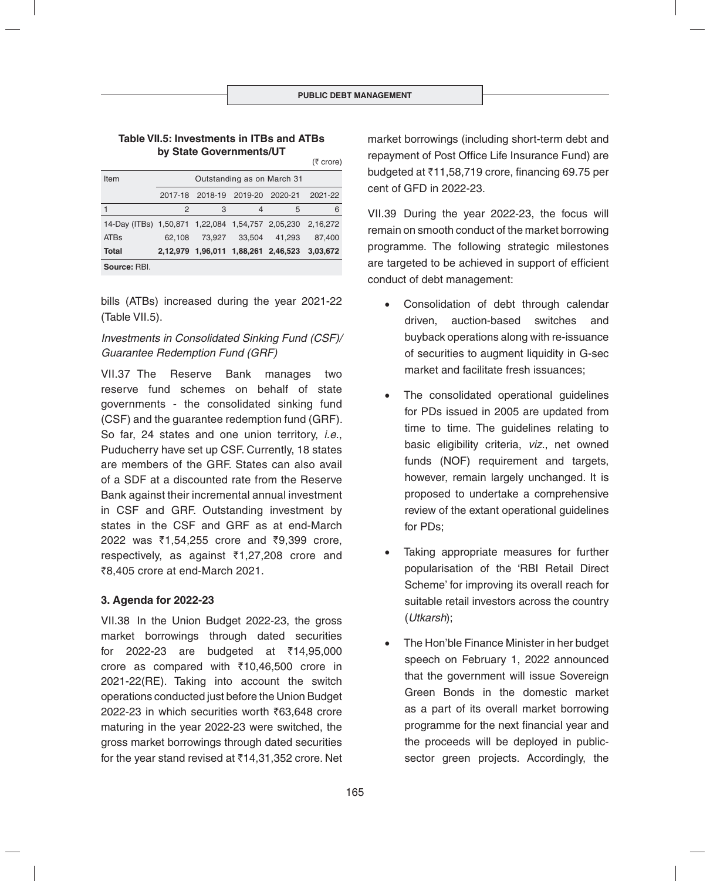#### **Table VII.5: Investments in ITBs and ATBs by State Governments/UT**

|                                                            |                            |                                 |        |                                              | (₹ crore) |
|------------------------------------------------------------|----------------------------|---------------------------------|--------|----------------------------------------------|-----------|
| Item                                                       | Outstanding as on March 31 |                                 |        |                                              |           |
|                                                            |                            | 2017-18 2018-19 2019-20 2020-21 |        |                                              | 2021-22   |
|                                                            | 2                          | 3                               | 4      | 5                                            | 6         |
| 14-Day (ITBs) 1,50,871 1,22,084 1,54,757 2,05,230 2,16,272 |                            |                                 |        |                                              |           |
| <b>ATB<sub>S</sub></b>                                     | 62.108                     | 73.927                          | 33.504 | 41.293                                       | 87.400    |
| Total                                                      |                            |                                 |        | 2,12,979 1,96,011 1,88,261 2,46,523 3,03,672 |           |
| Source: RBI.                                               |                            |                                 |        |                                              |           |
|                                                            |                            |                                 |        |                                              |           |

bills (ATBs) increased during the year 2021-22 (Table VII.5).

# *Investments in Consolidated Sinking Fund (CSF)/ Guarantee Redemption Fund (GRF)*

VII.37 The Reserve Bank manages two reserve fund schemes on behalf of state governments - the consolidated sinking fund (CSF) and the guarantee redemption fund (GRF). So far, 24 states and one union territory, *i.e.*, Puducherry have set up CSF. Currently, 18 states are members of the GRF. States can also avail of a SDF at a discounted rate from the Reserve Bank against their incremental annual investment in CSF and GRF. Outstanding investment by states in the CSF and GRF as at end-March  $2022$  was  $\overline{51.54.255}$  crore and  $\overline{59.399}$  crore, respectively, as against  $\overline{3}1,27,208$  crore and ₹8,405 crore at end-March 2021.

# **3. Agenda for 2022-23**

VII.38 In the Union Budget 2022-23, the gross market borrowings through dated securities for 2022-23 are budgeted at  $\bar{x}$ 14,95,000 crore as compared with  $\overline{5}10,46,500$  crore in 2021-22(RE). Taking into account the switch operations conducted just before the Union Budget 2022-23 in which securities worth ₹63,648 crore maturing in the year 2022-23 were switched, the gross market borrowings through dated securities for the year stand revised at  $\bar{\tau}$ 14,31,352 crore. Net

market borrowings (including short-term debt and repayment of Post Office Life Insurance Fund) are budgeted at  $\overline{5}11.58,719$  crore, financing 69,75 per cent of GFD in 2022-23.

VII.39 During the year 2022-23, the focus will remain on smooth conduct of the market borrowing programme. The following strategic milestones are targeted to be achieved in support of efficient conduct of debt management:

- Consolidation of debt through calendar driven, auction-based switches and buyback operations along with re-issuance of securities to augment liquidity in G-sec market and facilitate fresh issuances;
- The consolidated operational guidelines for PDs issued in 2005 are updated from time to time. The guidelines relating to basic eligibility criteria, *viz.*, net owned funds (NOF) requirement and targets, however, remain largely unchanged. It is proposed to undertake a comprehensive review of the extant operational guidelines for PDs;
- Taking appropriate measures for further popularisation of the 'RBI Retail Direct Scheme' for improving its overall reach for suitable retail investors across the country (*Utkarsh*);
- The Hon'ble Finance Minister in her budget speech on February 1, 2022 announced that the government will issue Sovereign Green Bonds in the domestic market as a part of its overall market borrowing programme for the next financial year and the proceeds will be deployed in publicsector green projects. Accordingly, the